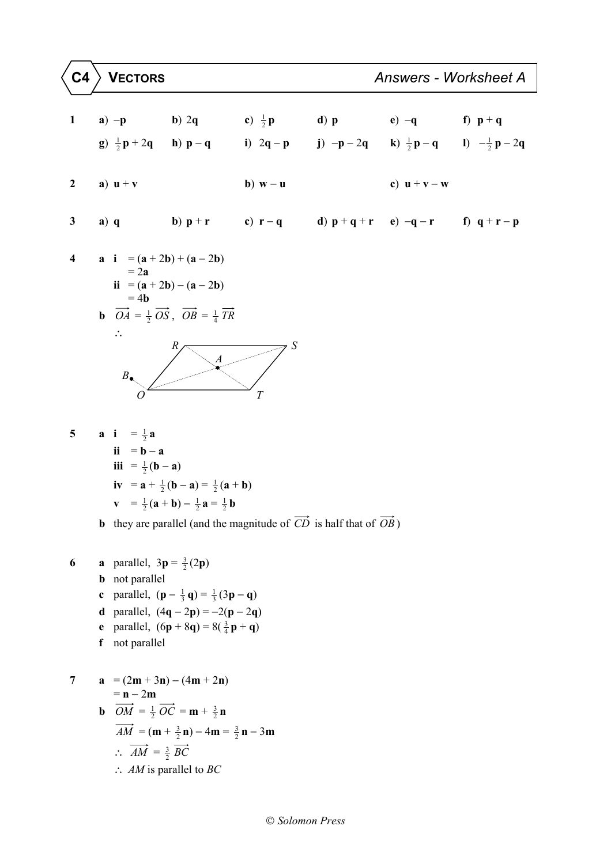1 a) -p b) 2q c) 
$$
\frac{1}{2}p
$$
 d) p e) -q f)  $p+q$   
\ng)  $\frac{1}{2}p+2q$  h)  $p-q$  i) 2q - p i) -p-2q k)  $\frac{1}{2}p-q$  i)  $-\frac{1}{2}p-2q$   
\n2 a) u + v b) w - u c) u + v - w  
\n3 a) q b)  $p+r$  c)  $r-q$  d)  $p+q+r$  e) -q - r f)  $q+r-p$   
\n4 a i = (a + 2b) + (a - 2b)  
\n= 2a  
\nii = (a + 2b) - (a - 2b)  
\n= 4b  
\nb)  $\overline{OA} = \frac{1}{2}\overline{OS}$ ,  $\overline{OB} = \frac{1}{4}\overline{TR}$   
\n $\therefore$   
\n $\overline{B}$   
\n $\overline{OA} = \frac{1}{2}a$ 

 $\mathbf{i} \mathbf{i} = \mathbf{b} - \mathbf{a}$ **iii** =  $\frac{1}{2}$  (**b** − **a**) **iv** =  $\mathbf{a} + \frac{1}{2}(\mathbf{b} - \mathbf{a}) = \frac{1}{2}(\mathbf{a} + \mathbf{b})$ **v** =  $\frac{1}{2}$  (**a** + **b**) -  $\frac{1}{2}$  **a** =  $\frac{1}{2}$  **b** 

**b** they are parallel (and the magnitude of  $\overrightarrow{CD}$  is half that of  $\overrightarrow{OB}$ )

6 **a** parallel, 
$$
3p = \frac{3}{2}(2p)
$$
  
\n**b** not parallel  
\n**c** parallel,  $(p - \frac{1}{3}q) = \frac{1}{3}(3p - q)$   
\n**d** parallel,  $(4q - 2p) = -2(p - 2q)$   
\n**e** parallel,  $(6p + 8q) = 8(\frac{3}{4}p + q)$   
\n**f** not parallel  
\n7 **a** =  $(2m + 3n) - (4m + 2n)$ 

**a** 
$$
-(2\mathbf{m} + 3\mathbf{n}) - (4\mathbf{m} + 2\mathbf{n})
$$
  
\n $= \mathbf{n} - 2\mathbf{m}$   
\n**b**  $\overrightarrow{OM} = \frac{1}{2}\overrightarrow{OC} = \mathbf{m} + \frac{3}{2}\mathbf{n}$   
\n $\overrightarrow{AM} = (\mathbf{m} + \frac{3}{2}\mathbf{n}) - 4\mathbf{m} = \frac{3}{2}\mathbf{n} - 3\mathbf{m}$   
\n $\therefore \overrightarrow{AM} = \frac{3}{2}\overrightarrow{BC}$   
\n $\therefore AM$  is parallel to *BC*